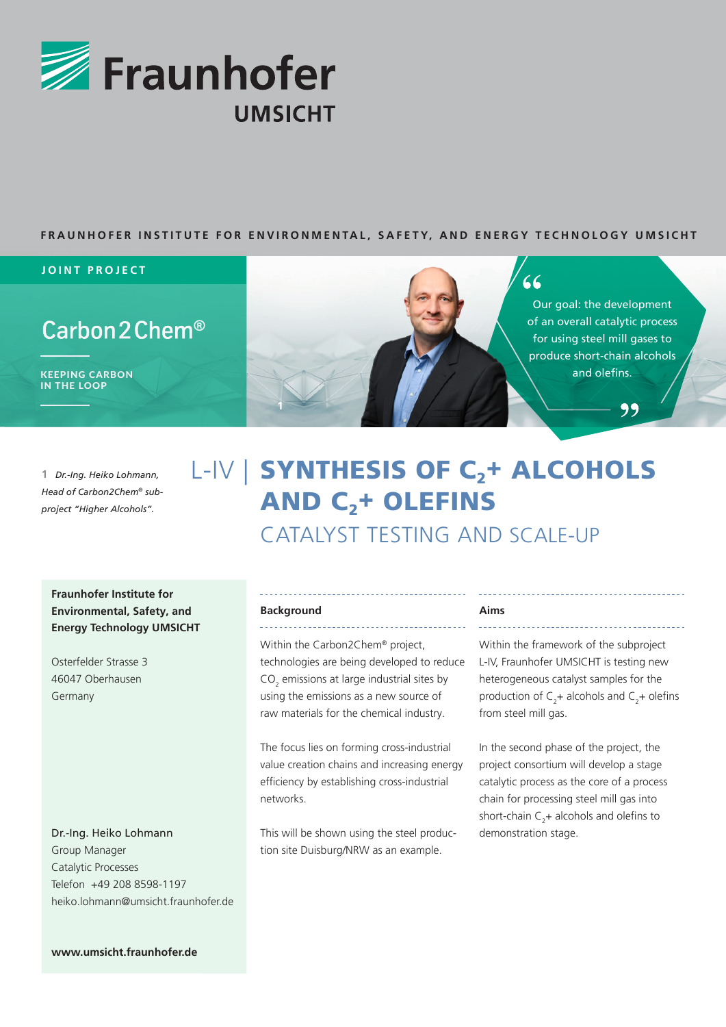

### **FRAUNHOFER INSTITUTE FOR ENVIRONMENTAL, SAFETY, AND ENERGY TECHNOLOGY UMSICHT**

#### **JOINT PROJECT**

# Carbon 2 Chem<sup>®</sup>

IN THE LOOP



# $66$

Our goal: the development of an overall catalytic process for using steel mill gases to produce short-chain alcohols

99

1 *Dr.-Ing. Heiko Lohmann, Head of Carbon2Chem® subproject "Higher Alcohols".*

# L-IV | SYNTHESIS OF C<sub>2</sub>+ ALCOHOLS **AND C<sub>2</sub>+ OLEFINS** CATALYST TESTING AND SCALE-UP

**Fraunhofer Institute for Environmental, Safety, and Energy Technology UMSICHT**

Osterfelder Strasse 3 46047 Oberhausen Germany

### Dr.-Ing. Heiko Lohmann Group Manager Catalytic Processes Telefon +49 208 8598-1197 heiko.lohmann@umsicht.fraunhofer.de

#### **Background**

Within the Carbon2Chem® project, technologies are being developed to reduce  $CO<sub>2</sub>$  emissions at large industrial sites by using the emissions as a new source of raw materials for the chemical industry.

The focus lies on forming cross-industrial value creation chains and increasing energy efficiency by establishing cross-industrial networks.

This will be shown using the steel production site Duisburg/NRW as an example.

#### **Aims**

Within the framework of the subproject L-IV, Fraunhofer UMSICHT is testing new heterogeneous catalyst samples for the production of  $C_2$ + alcohols and  $C_2$ + olefins from steel mill gas.

In the second phase of the project, the project consortium will develop a stage catalytic process as the core of a process chain for processing steel mill gas into short-chain  $C_2$ + alcohols and olefins to demonstration stage.